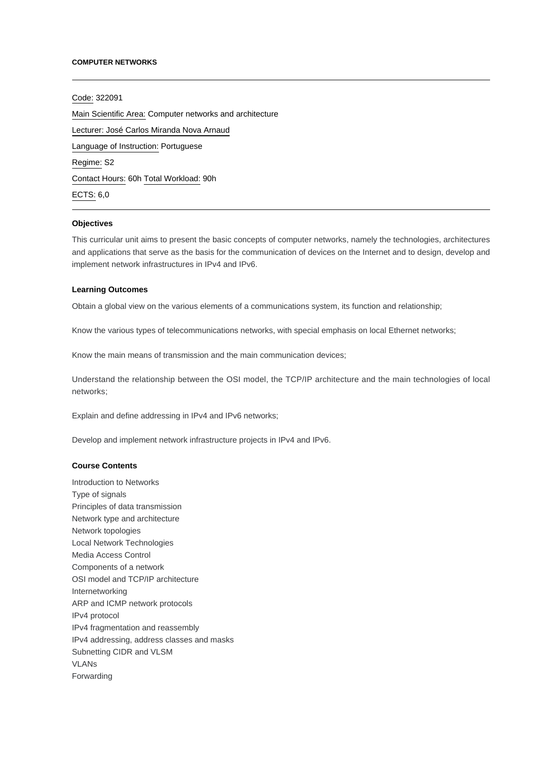#### **COMPUTER NETWORKS**

Code: 322091 Main Scientific Area: Computer networks and architecture Lecturer: [José Carlos Miranda Nova Arnaud](mailto:jarnaud@ipca.pt) Language of Instruction: Portuguese Regime: S2 Contact Hours: 60h Total Workload: 90h ECTS: 6,0

### **Objectives**

This curricular unit aims to present the basic concepts of computer networks, namely the technologies, architectures and applications that serve as the basis for the communication of devices on the Internet and to design, develop and implement network infrastructures in IPv4 and IPv6.

### **Learning Outcomes**

Obtain a global view on the various elements of a communications system, its function and relationship;

Know the various types of telecommunications networks, with special emphasis on local Ethernet networks;

Know the main means of transmission and the main communication devices;

Understand the relationship between the OSI model, the TCP/IP architecture and the main technologies of local networks;

Explain and define addressing in IPv4 and IPv6 networks;

Develop and implement network infrastructure projects in IPv4 and IPv6.

## **Course Contents**

Introduction to Networks Type of signals Principles of data transmission Network type and architecture Network topologies Local Network Technologies Media Access Control Components of a network OSI model and TCP/IP architecture Internetworking ARP and ICMP network protocols IPv4 protocol IPv4 fragmentation and reassembly IPv4 addressing, address classes and masks Subnetting CIDR and VLSM VLANs Forwarding